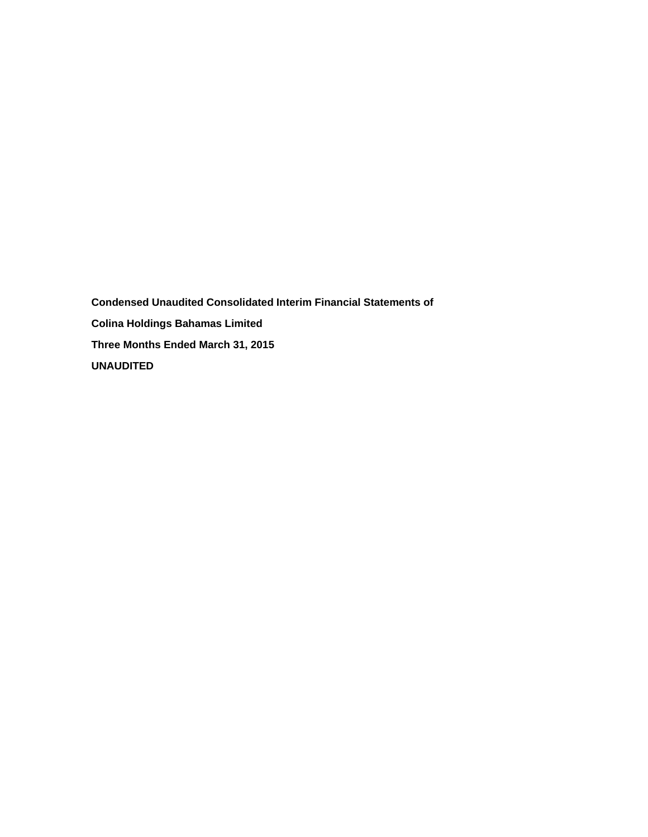**Condensed Unaudited Consolidated Interim Financial Statements of Colina Holdings Bahamas Limited Three Months Ended March 31, 2015 UNAUDITED**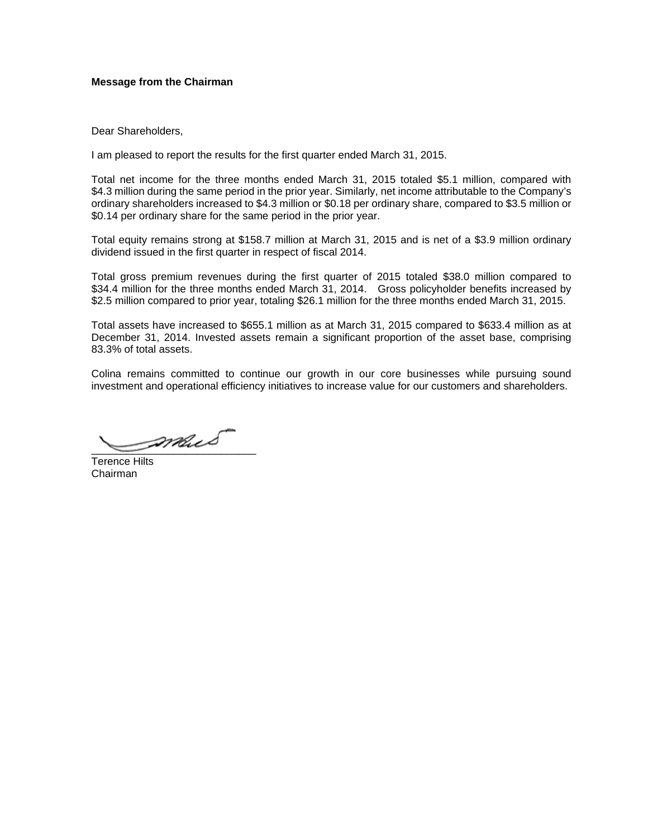# **Message from the Chairman**

Dear Shareholders,

I am pleased to report the results for the first quarter ended March 31, 2015.

Total net income for the three months ended March 31, 2015 totaled \$5.1 million, compared with \$4.3 million during the same period in the prior year. Similarly, net income attributable to the Company's ordinary shareholders increased to \$4.3 million or \$0.18 per ordinary share, compared to \$3.5 million or \$0.14 per ordinary share for the same period in the prior year.

Total equity remains strong at \$158.7 million at March 31, 2015 and is net of a \$3.9 million ordinary dividend issued in the first quarter in respect of fiscal 2014.

Total gross premium revenues during the first quarter of 2015 totaled \$38.0 million compared to \$34.4 million for the three months ended March 31, 2014. Gross policyholder benefits increased by \$2.5 million compared to prior year, totaling \$26.1 million for the three months ended March 31, 2015.

Total assets have increased to \$655.1 million as at March 31, 2015 compared to \$633.4 million as at December 31, 2014. Invested assets remain a significant proportion of the asset base, comprising 83.3% of total assets.

Colina remains committed to continue our growth in our core businesses while pursuing sound investment and operational efficiency initiatives to increase value for our customers and shareholders.

\_\_\_\_\_\_\_\_\_\_\_\_\_\_\_\_\_\_\_\_\_\_\_\_\_\_\_\_

Terence Hilts Chairman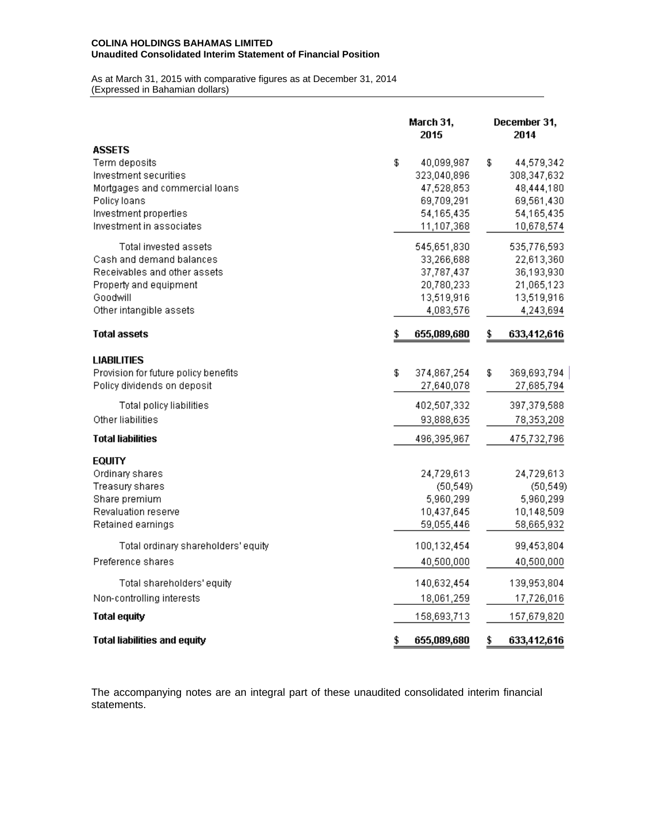#### **COLINA HOLDINGS BAHAMAS LIMITED Unaudited Consolidated Interim Statement of Financial Position**

As at March 31, 2015 with comparative figures as at December 31, 2014 (Expressed in Bahamian dollars)

|                                                                                                                                                                | March 31,<br>2015                                                                       | December 31,<br>2014 |                                                                                   |  |  |
|----------------------------------------------------------------------------------------------------------------------------------------------------------------|-----------------------------------------------------------------------------------------|----------------------|-----------------------------------------------------------------------------------|--|--|
| <b>ASSETS</b><br>Term deposits<br>Investment securities<br>Mortgages and commercial loans<br>Policy loans<br>Investment properties<br>Investment in associates | \$<br>40,099,987<br>323,040,896<br>47,528,853<br>69,709,291<br>54,165,435<br>11,107,368 | \$                   | 44,579,342<br>308,347,632<br>48,444,180<br>69,561,430<br>54,165,435<br>10,678,574 |  |  |
| Total invested assets<br>Cash and demand balances<br>Receivables and other assets<br>Property and equipment<br>Goodwill<br>Other intangible assets             | 545,651,830<br>33,266,688<br>37,787,437<br>20,780,233<br>13,519,916<br>4,083,576        |                      | 535,776,593<br>22,613,360<br>36,193,930<br>21,065,123<br>13,519,916<br>4,243,694  |  |  |
| <b>Total assets</b>                                                                                                                                            | \$<br>655,089,680                                                                       | \$                   | 633,412,616                                                                       |  |  |
| <b>LIABILITIES</b><br>Provision for future policy benefits<br>Policy dividends on deposit<br>Total policy liabilities<br>Other liabilities                     | \$<br>374,867,254<br>27,640,078<br>402,507,332<br>93,888,635                            | \$                   | 369,693,794<br>27,685,794<br>397,379,588<br>78,353,208                            |  |  |
| <b>Total liabilities</b>                                                                                                                                       | 496,395,967                                                                             |                      | 475,732,796                                                                       |  |  |
| <b>EQUITY</b><br>Ordinary shares<br>Treasury shares<br>Share premium<br><b>Revaluation reserve</b><br>Retained earnings                                        | 24,729,613<br>(50, 549)<br>5,960,299<br>10,437,645<br>59,055,446                        |                      | 24,729,613<br>(50, 549)<br>5,960,299<br>10,148,509<br>58,665,932                  |  |  |
| Total ordinary shareholders' equity<br>Preference shares                                                                                                       | 100,132,454<br>40,500,000                                                               |                      | 99,453,804<br>40,500,000                                                          |  |  |
| Total shareholders' equity<br>Non-controlling interests                                                                                                        | 140,632,454<br>18,061,259                                                               |                      | 139,953,804<br>17,726,016                                                         |  |  |
| <b>Total equity</b><br><b>Total liabilities and equity</b>                                                                                                     | \$<br>158,693,713<br>655,089,680                                                        | \$                   | 157,679,820<br>633,412,616                                                        |  |  |
|                                                                                                                                                                |                                                                                         |                      |                                                                                   |  |  |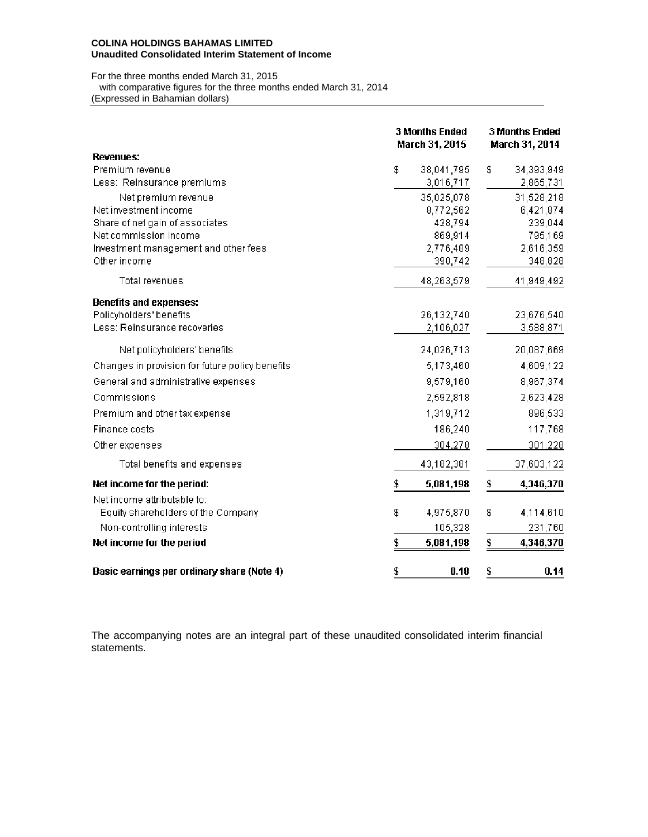### **COLINA HOLDINGS BAHAMAS LIMITED Unaudited Consolidated Interim Statement of Income**

### For the three months ended March 31, 2015 with comparative figures for the three months ended March 31, 2014 (Expressed in Bahamian dollars)

|                                                 | <b>3 Months Ended</b><br>March 31, 2015 | <b>3 Months Ended</b><br>March 31, 2014 |            |  |  |  |
|-------------------------------------------------|-----------------------------------------|-----------------------------------------|------------|--|--|--|
| <b>Revenues:</b><br>Premium revenue             | 38,041,795<br>\$                        | \$                                      | 34,393,949 |  |  |  |
| Less: Reinsurance premiums                      | 3,016,717                               |                                         | 2,865,731  |  |  |  |
| Net premium revenue                             | 35,025,078                              |                                         | 31,528,218 |  |  |  |
| Net investment income                           | 8,772,562                               |                                         | 6,421,874  |  |  |  |
| Share of net gain of associates                 | 428,794                                 |                                         | 239,044    |  |  |  |
| Net commission income                           | 869,914                                 |                                         | 795,169    |  |  |  |
| Investment management and other fees            | 2,776,489                               |                                         | 2,616,359  |  |  |  |
| Other income                                    | 390,742                                 |                                         | 348,828    |  |  |  |
| <b>Total revenues</b>                           | 48,263,579                              |                                         | 41,949,492 |  |  |  |
| <b>Benefits and expenses:</b>                   |                                         |                                         |            |  |  |  |
| Policyholders' benefits                         | 26,132,740                              |                                         | 23,676,540 |  |  |  |
| Less: Reinsurance recoveries                    | 2,106,027                               |                                         | 3,588,871  |  |  |  |
| Net policyholders' benefits                     | 24,026,713                              |                                         | 20,087,669 |  |  |  |
| Changes in provision for future policy benefits | 5,173,460                               |                                         | 4,609,122  |  |  |  |
| General and administrative expenses             | 9,579,160                               |                                         | 8,967,374  |  |  |  |
| Commissions                                     | 2,592,818                               |                                         | 2,623,428  |  |  |  |
| Premium and other tax expense                   | 1,319,712                               |                                         | 896,533    |  |  |  |
| Finance costs                                   | 186,240                                 |                                         | 117,768    |  |  |  |
| Other expenses                                  | 304,278                                 |                                         | 301,228    |  |  |  |
| Total benefits and expenses                     | 43,182,381                              |                                         | 37,603,122 |  |  |  |
| Net income for the period:                      | 5,081,198<br>\$                         | \$                                      | 4,346,370  |  |  |  |
| Net income attributable to:                     |                                         |                                         |            |  |  |  |
| Equity shareholders of the Company              | \$<br>4,975,870                         | \$                                      | 4,114,610  |  |  |  |
| Non-controlling interests                       | 105,328                                 |                                         | 231,760    |  |  |  |
| Net income for the period                       | \$<br>5,081,198                         | \$                                      | 4,346,370  |  |  |  |
| Basic earnings per ordinary share (Note 4)      | \$<br>0.18                              | \$                                      | 0.14       |  |  |  |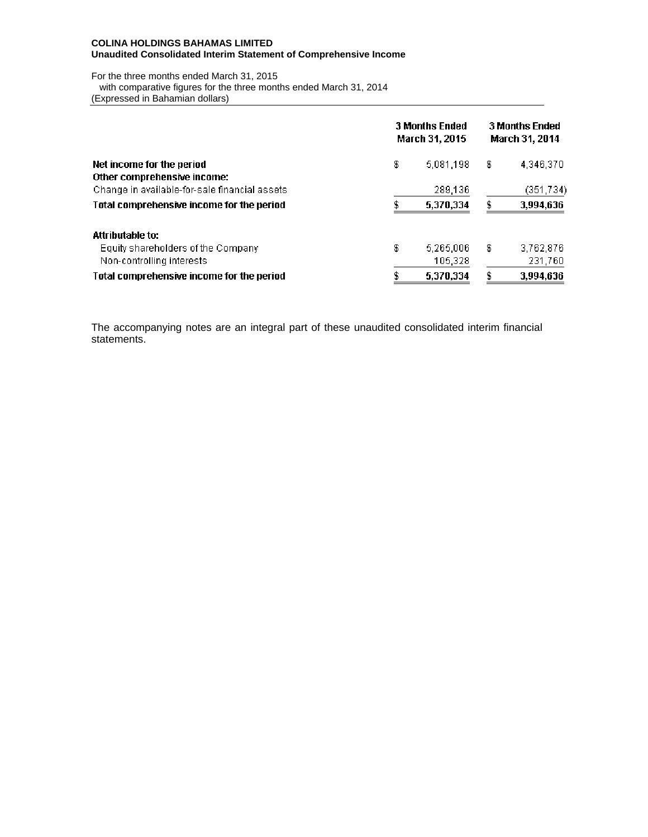### **COLINA HOLDINGS BAHAMAS LIMITED Unaudited Consolidated Interim Statement of Comprehensive Income**

For the three months ended March 31, 2015 with comparative figures for the three months ended March 31, 2014 (Expressed in Bahamian dollars)

|                                                | <b>3 Months Ended</b><br>March 31, 2015 | <b>3 Months Ended</b><br>March 31, 2014 |    |            |  |
|------------------------------------------------|-----------------------------------------|-----------------------------------------|----|------------|--|
| Net income for the period                      | \$                                      | 5,081,198                               | \$ | 4,346,370  |  |
| Other comprehensive income:                    |                                         |                                         |    |            |  |
| Change in available-for-sale financial assets. |                                         | 289,136                                 |    | (351, 734) |  |
| Total comprehensive income for the period      |                                         | 5,370,334                               |    | 3,994,636  |  |
| <b>Attributable to:</b>                        |                                         |                                         |    |            |  |
| Equity shareholders of the Company             | \$                                      | 5,265,006                               | \$ | 3,762,876  |  |
| Non-controlling interests                      |                                         | 105,328                                 |    | 231,760    |  |
| Total comprehensive income for the period      |                                         | 5,370,334                               |    | 3,994,636  |  |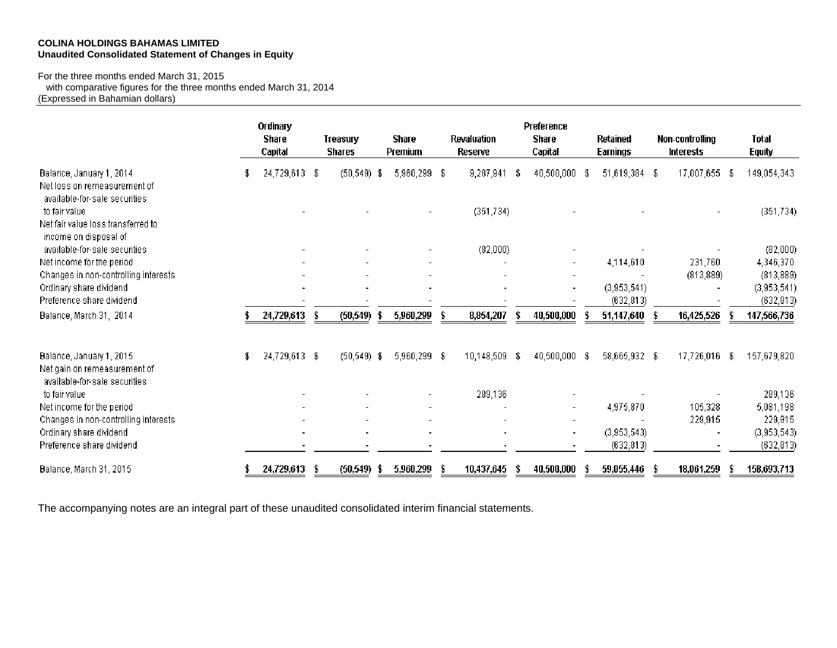# **COLINA HOLDINGS BAHAMAS LIMITED Unaudited Consolidated Statement of Changes in Equity**

For the three months ended March 31, 2015

 with comparative figures for the three months ended March 31, 2014 (Expressed in Bahamian dollars)

|                                                                                           |     | Ordinary<br><b>Share</b><br>Capital |      | Treasury<br><b>Shares</b> | <b>Share</b><br>Premium | Revaluation<br>Reserve |      | Preference<br><b>Share</b><br>Capital |      | <b>Retained</b><br><b>Earnings</b> | <b>Non-controlling</b><br><b>Interests</b> |    | <b>Total</b><br><b>Equity</b> |
|-------------------------------------------------------------------------------------------|-----|-------------------------------------|------|---------------------------|-------------------------|------------------------|------|---------------------------------------|------|------------------------------------|--------------------------------------------|----|-------------------------------|
| Balance, January 1, 2014<br>Net loss on remeasurement of<br>available-for-sale securities | \$. | 24,729,613                          | - \$ | $(50, 549)$ \$            | 5,960,299 \$            | 9,287,941              | S    | 40,500,000                            | Æ    | 51,619,384 \$                      | 17,007,655                                 | -S | 149,054,343                   |
| to fair value<br>Net fair value loss transferred to<br>income on disposal of              |     |                                     |      |                           |                         | (351, 734)             |      |                                       |      |                                    |                                            |    | (351, 734)                    |
| available-for-sale securities                                                             |     |                                     |      |                           |                         | (82,000)               |      |                                       |      |                                    |                                            |    | (82,000)                      |
| Net income for the period                                                                 |     |                                     |      |                           | $\blacksquare$          |                        |      |                                       |      | 4,114,610                          | 231,760                                    |    | 4,346,370                     |
| Changes in non-controlling interests                                                      |     |                                     |      |                           |                         |                        |      |                                       |      |                                    | (813, 889)                                 |    | (813, 889)                    |
| Ordinary share dividend                                                                   |     |                                     |      |                           |                         |                        |      |                                       |      | (3,953,541)                        |                                            |    | (3,953,541)                   |
| Preference share dividend                                                                 |     |                                     |      |                           |                         |                        |      |                                       |      | (632, 813)                         |                                            |    | (632, 813)                    |
| Balance, March 31, 2014                                                                   |     | 24,729,613                          | \$   | (50, 549)                 | 5,960,299               | 8,854,207              |      | 40,500,000                            |      | 51,147,640                         | 16,425,526                                 |    | 147,566,736                   |
| Balance, January 1, 2015<br>Net gain on remeasurement of<br>available-for-sale securities | \$  | 24,729,613 \$                       |      | $(50, 549)$ \$            | 5,960,299 \$            | 10,148,509             | - \$ | 40,500,000                            | - \$ | 58,665,932 \$                      | 17,726,016                                 | -8 | 157,679,820                   |
| to fair value                                                                             |     |                                     |      |                           |                         | 289,136                |      |                                       |      |                                    |                                            |    | 289,136                       |
| Net income for the period                                                                 |     |                                     |      |                           |                         |                        |      |                                       |      | 4,975,870                          | 105,328                                    |    | 5,081,198                     |
| Changes in non-controlling interests                                                      |     |                                     |      |                           |                         |                        |      |                                       |      |                                    | 229,915                                    |    | 229,915                       |
| Ordinary share dividend                                                                   |     |                                     |      |                           |                         |                        |      |                                       |      | (3,953,543)                        |                                            |    | (3,953,543)                   |
| Preference share dividend                                                                 |     |                                     |      |                           |                         |                        |      |                                       |      | (632, 813)                         |                                            |    | (632, 813)                    |
| Balance, March 31, 2015                                                                   |     | 24,729,613                          |      | (50, 549)                 | 5,960,299               | 10,437,645             |      | 40,500,000                            |      | 59,055,446                         | 18,061,259                                 |    | 158,693,713                   |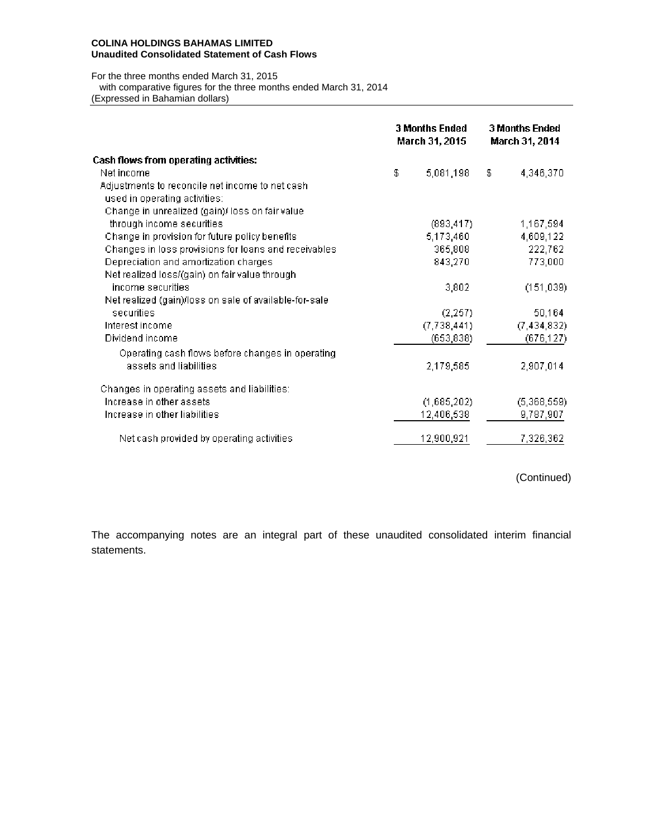## **COLINA HOLDINGS BAHAMAS LIMITED Unaudited Consolidated Statement of Cash Flows**

For the three months ended March 31, 2015 with comparative figures for the three months ended March 31, 2014 (Expressed in Bahamian dollars)

|                                                        | <b>3 Months Ended</b><br><b>3 Months Ended</b><br>March 31, 2015<br>March 31, 2014 |    |               |  |  |  |
|--------------------------------------------------------|------------------------------------------------------------------------------------|----|---------------|--|--|--|
| <b>Cash flows from operating activities:</b>           |                                                                                    |    |               |  |  |  |
| Net income                                             | \$<br>5,081,198                                                                    | \$ | 4,346,370     |  |  |  |
| Adjustments to reconcile net income to net cash        |                                                                                    |    |               |  |  |  |
| used in operating activities:                          |                                                                                    |    |               |  |  |  |
| Change in unrealized (gain)/ loss on fair value        |                                                                                    |    |               |  |  |  |
| through income securities                              | (893, 417)                                                                         |    | 1,167,594     |  |  |  |
| Change in provision for future policy benefits         | 5,173,460                                                                          |    | 4,609,122     |  |  |  |
| Changes in loss provisions for loans and receivables   | 365,808                                                                            |    | 222,762       |  |  |  |
| Depreciation and amortization charges                  | 843,270                                                                            |    | 773,000       |  |  |  |
| Net realized loss/(gain) on fair value through         |                                                                                    |    |               |  |  |  |
| income securities.                                     | 3,802                                                                              |    | (151, 039)    |  |  |  |
| Net realized (gain)/loss on sale of available-for-sale |                                                                                    |    |               |  |  |  |
| securities                                             | (2, 257)                                                                           |    | 50,164        |  |  |  |
| Interest income                                        | (7,738,441)                                                                        |    | (7, 434, 832) |  |  |  |
| Dividend income                                        | (653, 838)                                                                         |    | (676, 127)    |  |  |  |
| Operating cash flows before changes in operating       |                                                                                    |    |               |  |  |  |
| assets and liabilities                                 | 2,179,585                                                                          |    | 2,907,014     |  |  |  |
| Changes in operating assets and liabilities:           |                                                                                    |    |               |  |  |  |
| Increase in other assets                               | (1,685,202)                                                                        |    | (5,368,559)   |  |  |  |
| Increase in other liabilities                          | 12,406,538                                                                         |    | 9,787,907     |  |  |  |
| Net cash provided by operating activities              | 12,900,921                                                                         |    | 7,326,362     |  |  |  |

(Continued)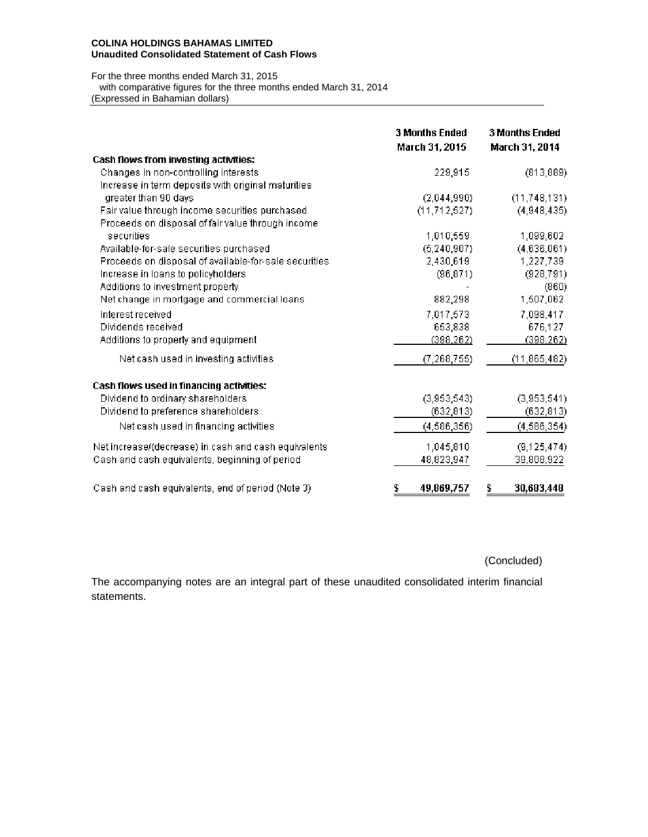## **COLINA HOLDINGS BAHAMAS LIMITED Unaudited Consolidated Statement of Cash Flows**

For the three months ended March 31, 2015 with comparative figures for the three months ended March 31, 2014 (Expressed in Bahamian dollars)

|                                                       | <b>3 Months Ended</b><br>March 31, 2015 | <b>3 Months Ended</b><br>March 31, 2014 |
|-------------------------------------------------------|-----------------------------------------|-----------------------------------------|
| Cash flows from investing activities:                 |                                         |                                         |
| Changes in non-controlling interests                  | 229,915                                 | (813, 889)                              |
| Increase in term deposits with original maturities    |                                         |                                         |
| greater than 90 days                                  | (2,044,990)                             | (11, 748, 131)                          |
| Fair value through income securities purchased        | (11, 712, 527)                          | (4,948,435)                             |
| Proceeds on disposal of fair value through income     |                                         |                                         |
| securities                                            | 1,010,559                               | 1,099,602                               |
| Available-for-sale securities purchased               | (5, 240, 907)                           | (4,636,061)                             |
| Proceeds on disposal of available-for-sale securities | 2,430,619                               | 1,227,739                               |
| Increase in loans to policyholders                    | (96, 871)                               | (928, 791)                              |
| Additions to investment property                      |                                         | (860)                                   |
| Net change in mortgage and commercial loans           | 882,298                                 | 1,507,062                               |
| Interest received                                     | 7,017,573                               | 7,098,417                               |
| Dividends received                                    | 653,838                                 | 676,127                                 |
| Additions to property and equipment                   | (398, 262)                              | (398, 262)                              |
| Net cash used in investing activities                 | (7, 268, 755)                           | (11, 865, 482)                          |
| Cash flows used in financing activities:              |                                         |                                         |
| Dividend to ordinary shareholders                     | (3,953,543)                             | (3,953,541)                             |
| Dividend to preference shareholders                   | (632, 813)                              | (632, 813)                              |
| Net cash used in financing activities                 | (4, 586, 356)                           | (4, 586, 354)                           |
| Net increase/(decrease) in cash and cash equivalents  | 1,045,810                               | (9, 125, 474)                           |
| Cash and cash equivalents, beginning of period        | 48,823,947                              | 39,808,922                              |
| Cash and cash equivalents, end of period (Note 3)     | 49,869,757<br>\$                        | 30,683,448<br>\$                        |

(Concluded)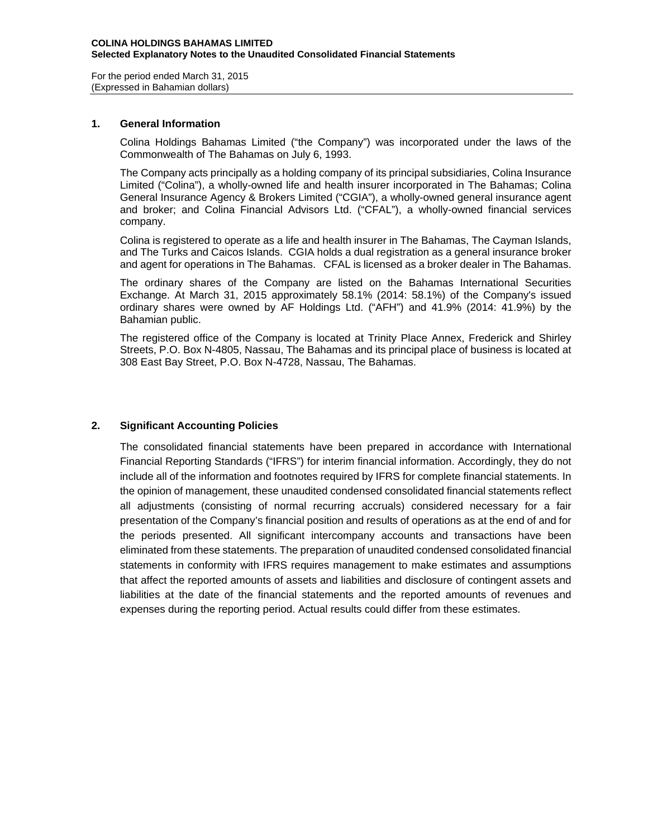For the period ended March 31, 2015 (Expressed in Bahamian dollars)

## **1. General Information**

Colina Holdings Bahamas Limited ("the Company") was incorporated under the laws of the Commonwealth of The Bahamas on July 6, 1993.

The Company acts principally as a holding company of its principal subsidiaries, Colina Insurance Limited ("Colina"), a wholly-owned life and health insurer incorporated in The Bahamas; Colina General Insurance Agency & Brokers Limited ("CGIA"), a wholly-owned general insurance agent and broker; and Colina Financial Advisors Ltd. ("CFAL"), a wholly-owned financial services company.

Colina is registered to operate as a life and health insurer in The Bahamas, The Cayman Islands, and The Turks and Caicos Islands. CGIA holds a dual registration as a general insurance broker and agent for operations in The Bahamas. CFAL is licensed as a broker dealer in The Bahamas.

The ordinary shares of the Company are listed on the Bahamas International Securities Exchange. At March 31, 2015 approximately 58.1% (2014: 58.1%) of the Company's issued ordinary shares were owned by AF Holdings Ltd. ("AFH") and 41.9% (2014: 41.9%) by the Bahamian public.

The registered office of the Company is located at Trinity Place Annex, Frederick and Shirley Streets, P.O. Box N-4805, Nassau, The Bahamas and its principal place of business is located at 308 East Bay Street, P.O. Box N-4728, Nassau, The Bahamas.

# **2. Significant Accounting Policies**

The consolidated financial statements have been prepared in accordance with International Financial Reporting Standards ("IFRS") for interim financial information. Accordingly, they do not include all of the information and footnotes required by IFRS for complete financial statements. In the opinion of management, these unaudited condensed consolidated financial statements reflect all adjustments (consisting of normal recurring accruals) considered necessary for a fair presentation of the Company's financial position and results of operations as at the end of and for the periods presented. All significant intercompany accounts and transactions have been eliminated from these statements. The preparation of unaudited condensed consolidated financial statements in conformity with IFRS requires management to make estimates and assumptions that affect the reported amounts of assets and liabilities and disclosure of contingent assets and liabilities at the date of the financial statements and the reported amounts of revenues and expenses during the reporting period. Actual results could differ from these estimates.